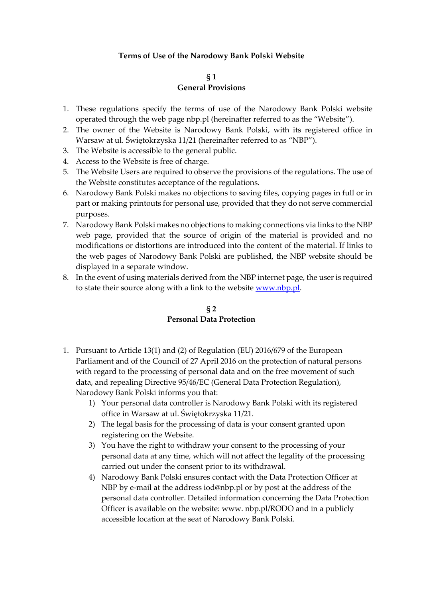## **Terms of Use of the Narodowy Bank Polski Website**

#### **§ 1 General Provisions**

- 1. These regulations specify the terms of use of the Narodowy Bank Polski website operated through the web page nbp.pl (hereinafter referred to as the "Website").
- 2. The owner of the Website is Narodowy Bank Polski, with its registered office in Warsaw at ul. Świętokrzyska 11/21 (hereinafter referred to as "NBP").
- 3. The Website is accessible to the general public.
- 4. Access to the Website is free of charge.
- 5. The Website Users are required to observe the provisions of the regulations. The use of the Website constitutes acceptance of the regulations.
- 6. Narodowy Bank Polski makes no objections to saving files, copying pages in full or in part or making printouts for personal use, provided that they do not serve commercial purposes.
- 7. Narodowy Bank Polski makes no objections to making connections via links to the NBP web page, provided that the source of origin of the material is provided and no modifications or distortions are introduced into the content of the material. If links to the web pages of Narodowy Bank Polski are published, the NBP website should be displayed in a separate window.
- 8. In the event of using materials derived from the NBP internet page, the user is required to state their source along with a link to the website [www.nbp.pl.](http://www.nbp.pl/)

# **§ 2 Personal Data Protection**

- 1. Pursuant to Article 13(1) and (2) of Regulation (EU) 2016/679 of the European Parliament and of the Council of 27 April 2016 on the protection of natural persons with regard to the processing of personal data and on the free movement of such data, and repealing Directive 95/46/EC (General Data Protection Regulation), Narodowy Bank Polski informs you that:
	- 1) Your personal data controller is Narodowy Bank Polski with its registered office in Warsaw at ul. Świętokrzyska 11/21.
	- 2) The legal basis for the processing of data is your consent granted upon registering on the Website.
	- 3) You have the right to withdraw your consent to the processing of your personal data at any time, which will not affect the legality of the processing carried out under the consent prior to its withdrawal.
	- 4) Narodowy Bank Polski ensures contact with the Data Protection Officer at NBP by e-mail at the address iod@nbp.pl or by post at the address of the personal data controller. Detailed information concerning the Data Protection Officer is available on the website: www. nbp.pl/RODO and in a publicly accessible location at the seat of Narodowy Bank Polski.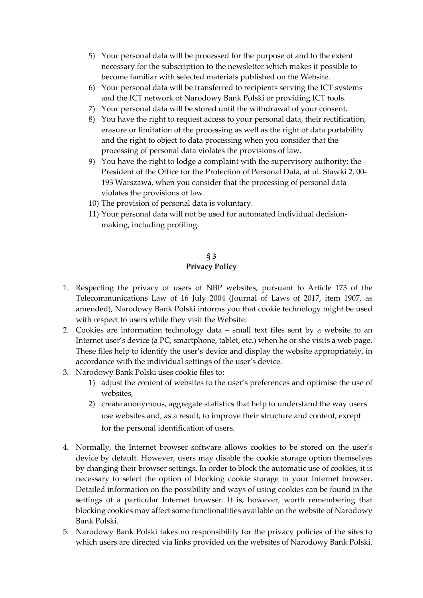- 5) Your personal data will be processed for the purpose of and to the extent necessary for the subscription to the newsletter which makes it possible to become familiar with selected materials published on the Website.
- 6) Your personal data will be transferred to recipients serving the ICT systems and the ICT network of Narodowy Bank Polski or providing ICT tools.
- 7) Your personal data will be stored until the withdrawal of your consent.
- 8) You have the right to request access to your personal data, their rectification, erasure or limitation of the processing as well as the right of data portability and the right to object to data processing when you consider that the processing of personal data violates the provisions of law.
- 9) You have the right to lodge a complaint with the supervisory authority: the President of the Office for the Protection of Personal Data, at ul. Stawki 2, 00- 193 Warszawa, when you consider that the processing of personal data violates the provisions of law.
- 10) The provision of personal data is voluntary.
- 11) Your personal data will not be used for automated individual decisionmaking, including profiling.

# **§ 3 Privacy Policy**

- 1. Respecting the privacy of users of NBP websites, pursuant to Article 173 of the Telecommunications Law of 16 July 2004 (Journal of Laws of 2017, item 1907, as amended), Narodowy Bank Polski informs you that cookie technology might be used with respect to users while they visit the Website.
- 2. Cookies are information technology data small text files sent by a website to an Internet user's device (a PC, smartphone, tablet, etc.) when he or she visits a web page. These files help to identify the user's device and display the website appropriately, in accordance with the individual settings of the user's device.
- 3. Narodowy Bank Polski uses cookie files to:
	- 1) adjust the content of websites to the user's preferences and optimise the use of websites,
	- 2) create anonymous, aggregate statistics that help to understand the way users use websites and, as a result, to improve their structure and content, except for the personal identification of users.
- 4. Normally, the Internet browser software allows cookies to be stored on the user's device by default. However, users may disable the cookie storage option themselves by changing their browser settings. In order to block the automatic use of cookies, it is necessary to select the option of blocking cookie storage in your Internet browser. Detailed information on the possibility and ways of using cookies can be found in the settings of a particular Internet browser. It is, however, worth remembering that blocking cookies may affect some functionalities available on the website of Narodowy Bank Polski.
- 5. Narodowy Bank Polski takes no responsibility for the privacy policies of the sites to which users are directed via links provided on the websites of Narodowy Bank Polski.